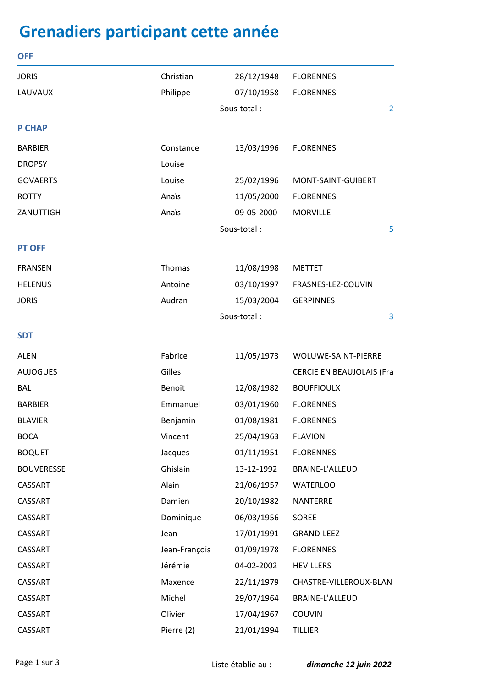## **Grenadiers participant cette année**

| <b>OFF</b>        |               |             |                                  |   |
|-------------------|---------------|-------------|----------------------------------|---|
| <b>JORIS</b>      | Christian     | 28/12/1948  | <b>FLORENNES</b>                 |   |
| LAUVAUX           | Philippe      | 07/10/1958  | <b>FLORENNES</b>                 |   |
|                   |               | Sous-total: |                                  |   |
| <b>P CHAP</b>     |               |             |                                  |   |
| <b>BARBIER</b>    | Constance     | 13/03/1996  | <b>FLORENNES</b>                 |   |
| <b>DROPSY</b>     | Louise        |             |                                  |   |
| <b>GOVAERTS</b>   | Louise        | 25/02/1996  | MONT-SAINT-GUIBERT               |   |
| <b>ROTTY</b>      | Anaïs         | 11/05/2000  | <b>FLORENNES</b>                 |   |
| ZANUTTIGH         | Anaïs         | 09-05-2000  | <b>MORVILLE</b>                  |   |
|                   |               | Sous-total: |                                  |   |
| <b>PT OFF</b>     |               |             |                                  |   |
| <b>FRANSEN</b>    | Thomas        | 11/08/1998  | <b>METTET</b>                    |   |
| <b>HELENUS</b>    | Antoine       | 03/10/1997  | FRASNES-LEZ-COUVIN               |   |
| <b>JORIS</b>      | Audran        | 15/03/2004  | <b>GERPINNES</b>                 |   |
|                   |               | Sous-total: |                                  | 3 |
| <b>SDT</b>        |               |             |                                  |   |
| <b>ALEN</b>       | Fabrice       | 11/05/1973  | WOLUWE-SAINT-PIERRE              |   |
| <b>AUJOGUES</b>   | Gilles        |             | <b>CERCIE EN BEAUJOLAIS (Fra</b> |   |
| <b>BAL</b>        | <b>Benoit</b> | 12/08/1982  | <b>BOUFFIOULX</b>                |   |
| <b>BARBIER</b>    | Emmanuel      | 03/01/1960  | <b>FLORENNES</b>                 |   |
| <b>BLAVIER</b>    | Benjamin      | 01/08/1981  | <b>FLORENNES</b>                 |   |
| <b>BOCA</b>       | Vincent       | 25/04/1963  | <b>FLAVION</b>                   |   |
| <b>BOQUET</b>     | Jacques       | 01/11/1951  | <b>FLORENNES</b>                 |   |
| <b>BOUVERESSE</b> | Ghislain      | 13-12-1992  | BRAINE-L'ALLEUD                  |   |
| CASSART           | Alain         | 21/06/1957  | <b>WATERLOO</b>                  |   |
| CASSART           | Damien        | 20/10/1982  | NANTERRE                         |   |
| CASSART           | Dominique     | 06/03/1956  | SOREE                            |   |
| CASSART           | Jean          | 17/01/1991  | <b>GRAND-LEEZ</b>                |   |
| CASSART           | Jean-François | 01/09/1978  | <b>FLORENNES</b>                 |   |
| CASSART           | Jérémie       | 04-02-2002  | <b>HEVILLERS</b>                 |   |
| CASSART           | Maxence       | 22/11/1979  | CHASTRE-VILLEROUX-BLAN           |   |
| CASSART           | Michel        | 29/07/1964  | BRAINE-L'ALLEUD                  |   |
| CASSART           | Olivier       | 17/04/1967  | <b>COUVIN</b>                    |   |
| CASSART           | Pierre (2)    | 21/01/1994  | <b>TILLIER</b>                   |   |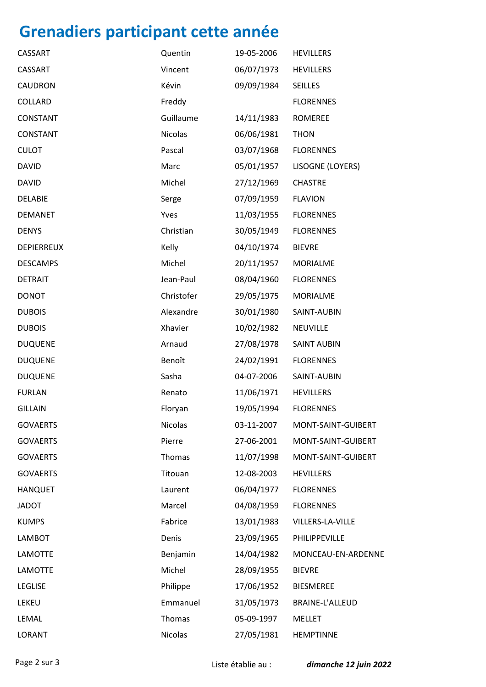## **Grenadiers participant cette année**

| CASSART         | Quentin    | 19-05-2006 | <b>HEVILLERS</b>   |
|-----------------|------------|------------|--------------------|
| CASSART         | Vincent    | 06/07/1973 | <b>HEVILLERS</b>   |
| <b>CAUDRON</b>  | Kévin      | 09/09/1984 | SEILLES            |
| COLLARD         | Freddy     |            | <b>FLORENNES</b>   |
| <b>CONSTANT</b> | Guillaume  | 14/11/1983 | <b>ROMEREE</b>     |
| <b>CONSTANT</b> | Nicolas    | 06/06/1981 | <b>THON</b>        |
| <b>CULOT</b>    | Pascal     | 03/07/1968 | <b>FLORENNES</b>   |
| <b>DAVID</b>    | Marc       | 05/01/1957 | LISOGNE (LOYERS)   |
| <b>DAVID</b>    | Michel     | 27/12/1969 | <b>CHASTRE</b>     |
| <b>DELABIE</b>  | Serge      | 07/09/1959 | <b>FLAVION</b>     |
| <b>DEMANET</b>  | Yves       | 11/03/1955 | <b>FLORENNES</b>   |
| <b>DENYS</b>    | Christian  | 30/05/1949 | <b>FLORENNES</b>   |
| DEPIERREUX      | Kelly      | 04/10/1974 | <b>BIEVRE</b>      |
| <b>DESCAMPS</b> | Michel     | 20/11/1957 | <b>MORIALME</b>    |
| <b>DETRAIT</b>  | Jean-Paul  | 08/04/1960 | <b>FLORENNES</b>   |
| <b>DONOT</b>    | Christofer | 29/05/1975 | <b>MORIALME</b>    |
| <b>DUBOIS</b>   | Alexandre  | 30/01/1980 | SAINT-AUBIN        |
| <b>DUBOIS</b>   | Xhavier    | 10/02/1982 | NEUVILLE           |
| <b>DUQUENE</b>  | Arnaud     | 27/08/1978 | <b>SAINT AUBIN</b> |
| <b>DUQUENE</b>  | Benoît     | 24/02/1991 | <b>FLORENNES</b>   |
| <b>DUQUENE</b>  | Sasha      | 04-07-2006 | SAINT-AUBIN        |
| <b>FURLAN</b>   | Renato     | 11/06/1971 | <b>HEVILLERS</b>   |
| <b>GILLAIN</b>  | Floryan    | 19/05/1994 | <b>FLORENNES</b>   |
| <b>GOVAERTS</b> | Nicolas    | 03-11-2007 | MONT-SAINT-GUIBERT |
| <b>GOVAERTS</b> | Pierre     | 27-06-2001 | MONT-SAINT-GUIBERT |
| <b>GOVAERTS</b> | Thomas     | 11/07/1998 | MONT-SAINT-GUIBERT |
| <b>GOVAERTS</b> | Titouan    | 12-08-2003 | <b>HEVILLERS</b>   |
| <b>HANQUET</b>  | Laurent    | 06/04/1977 | <b>FLORENNES</b>   |
| <b>JADOT</b>    | Marcel     | 04/08/1959 | <b>FLORENNES</b>   |
| <b>KUMPS</b>    | Fabrice    | 13/01/1983 | VILLERS-LA-VILLE   |
| <b>LAMBOT</b>   | Denis      | 23/09/1965 | PHILIPPEVILLE      |
| LAMOTTE         | Benjamin   | 14/04/1982 | MONCEAU-EN-ARDENNE |
| <b>LAMOTTE</b>  | Michel     | 28/09/1955 | <b>BIEVRE</b>      |
| <b>LEGLISE</b>  | Philippe   | 17/06/1952 | <b>BIESMEREE</b>   |
| LEKEU           | Emmanuel   | 31/05/1973 | BRAINE-L'ALLEUD    |
| LEMAL           | Thomas     | 05-09-1997 | <b>MELLET</b>      |
| LORANT          | Nicolas    | 27/05/1981 | <b>HEMPTINNE</b>   |